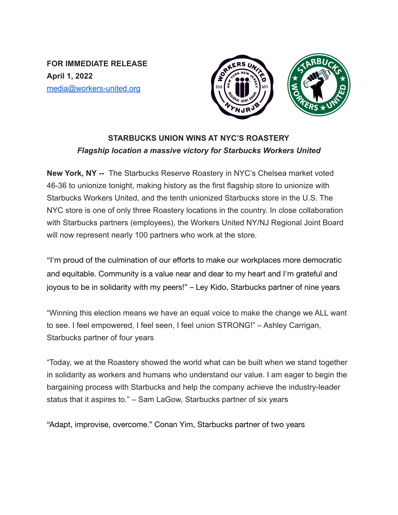**FOR IMMEDIATE RELEASE April 1, 2022** media@workers-united.org



## **STARBUCKS UNION WINS AT NYC'S ROASTERY** *Flagship location a massive victory for Starbucks Workers United*

**New York, NY --** The Starbucks Reserve Roastery in NYC's Chelsea market voted 46-36 to unionize tonight, making history as the first flagship store to unionize with Starbucks Workers United, and the tenth unionized Starbucks store in the U.S. The NYC store is one of only three Roastery locations in the country. In close collaboration with Starbucks partners (employees), the Workers United NY/NJ Regional Joint Board will now represent nearly 100 partners who work at the store.

"I'm proud of the culmination of our efforts to make our workplaces more democratic and equitable. Community is a value near and dear to my heart and I'm grateful and joyous to be in solidarity with my peers!" – Ley Kido, Starbucks partner of nine years

"Winning this election means we have an equal voice to make the change we ALL want to see. I feel empowered, I feel seen, I feel union STRONG!" – Ashley Carrigan, Starbucks partner of four years

"Today, we at the Roastery showed the world what can be built when we stand together in solidarity as workers and humans who understand our value. I am eager to begin the bargaining process with Starbucks and help the company achieve the industry-leader status that it aspires to." – Sam LaGow, Starbucks partner of six years

"Adapt, improvise, overcome." Conan Yim, Starbucks partner of two years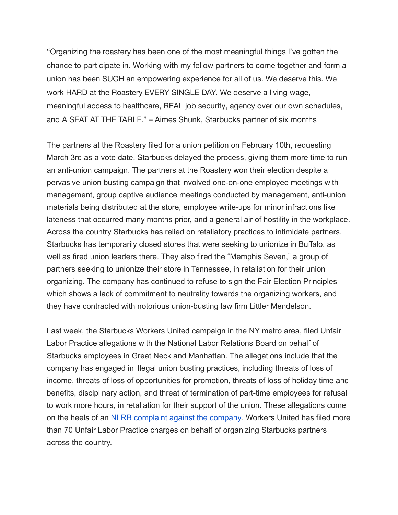"Organizing the roastery has been one of the most meaningful things I've gotten the chance to participate in. Working with my fellow partners to come together and form a union has been SUCH an empowering experience for all of us. We deserve this. We work HARD at the Roastery EVERY SINGLE DAY. We deserve a living wage, meaningful access to healthcare, REAL job security, agency over our own schedules, and A SEAT AT THE TABLE." – Aimes Shunk, Starbucks partner of six months

The partners at the Roastery filed for a union petition on February 10th, requesting March 3rd as a vote date. Starbucks delayed the process, giving them more time to run an anti-union campaign. The partners at the Roastery won their election despite a pervasive union busting campaign that involved one-on-one employee meetings with management, group captive audience meetings conducted by management, anti-union materials being distributed at the store, employee write-ups for minor infractions like lateness that occurred many months prior, and a general air of hostility in the workplace. Across the country Starbucks has relied on retaliatory practices to intimidate partners. Starbucks has temporarily closed stores that were seeking to unionize in Buffalo, as well as fired union leaders there. They also fired the "Memphis Seven," a group of partners seeking to unionize their store in Tennessee, in retaliation for their union organizing. The company has continued to refuse to sign the Fair Election Principles which shows a lack of commitment to neutrality towards the organizing workers, and they have contracted with notorious union-busting law firm Littler Mendelson.

Last week, the Starbucks Workers United campaign in the NY metro area, filed Unfair Labor Practice allegations with the National Labor Relations Board on behalf of Starbucks employees in Great Neck and Manhattan. The allegations include that the company has engaged in illegal union busting practices, including threats of loss of income, threats of loss of opportunities for promotion, threats of loss of holiday time and benefits, disciplinary action, and threat of termination of part-time employees for refusal to work more hours, in retaliation for their support of the union. These allegations come on the heels of an [NLRB complaint against the company.](https://www.nytimes.com/2022/03/15/business/economy/starbucks-union-nlrb-arizona.html) Workers United has filed more than 70 Unfair Labor Practice charges on behalf of organizing Starbucks partners across the country.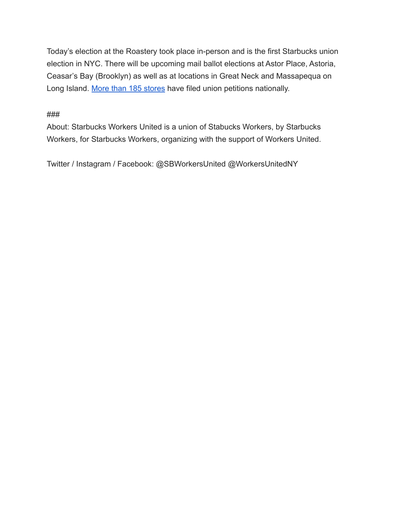Today's election at the Roastery took place in-person and is the first Starbucks union election in NYC. There will be upcoming mail ballot elections at Astor Place, Astoria, Ceasar's Bay (Brooklyn) as well as at locations in Great Neck and Massapequa on Long Island. [More than 185 stores](https://perfectunion.us/map-where-are-starbucks-workers-unionizing/) have filed union petitions nationally.

## ###

About: Starbucks Workers United is a union of Stabucks Workers, by Starbucks Workers, for Starbucks Workers, organizing with the support of Workers United.

Twitter / Instagram / Facebook: @SBWorkersUnited @WorkersUnitedNY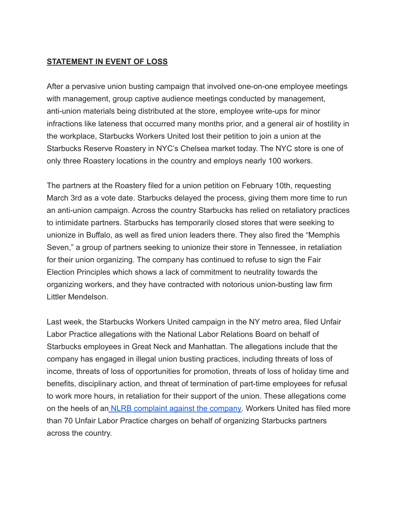## **STATEMENT IN EVENT OF LOSS**

After a pervasive union busting campaign that involved one-on-one employee meetings with management, group captive audience meetings conducted by management, anti-union materials being distributed at the store, employee write-ups for minor infractions like lateness that occurred many months prior, and a general air of hostility in the workplace, Starbucks Workers United lost their petition to join a union at the Starbucks Reserve Roastery in NYC's Chelsea market today. The NYC store is one of only three Roastery locations in the country and employs nearly 100 workers.

The partners at the Roastery filed for a union petition on February 10th, requesting March 3rd as a vote date. Starbucks delayed the process, giving them more time to run an anti-union campaign. Across the country Starbucks has relied on retaliatory practices to intimidate partners. Starbucks has temporarily closed stores that were seeking to unionize in Buffalo, as well as fired union leaders there. They also fired the "Memphis Seven," a group of partners seeking to unionize their store in Tennessee, in retaliation for their union organizing. The company has continued to refuse to sign the Fair Election Principles which shows a lack of commitment to neutrality towards the organizing workers, and they have contracted with notorious union-busting law firm Littler Mendelson.

Last week, the Starbucks Workers United campaign in the NY metro area, filed Unfair Labor Practice allegations with the National Labor Relations Board on behalf of Starbucks employees in Great Neck and Manhattan. The allegations include that the company has engaged in illegal union busting practices, including threats of loss of income, threats of loss of opportunities for promotion, threats of loss of holiday time and benefits, disciplinary action, and threat of termination of part-time employees for refusal to work more hours, in retaliation for their support of the union. These allegations come on the heels of an [NLRB complaint against the company.](https://www.nytimes.com/2022/03/15/business/economy/starbucks-union-nlrb-arizona.html) Workers United has filed more than 70 Unfair Labor Practice charges on behalf of organizing Starbucks partners across the country.